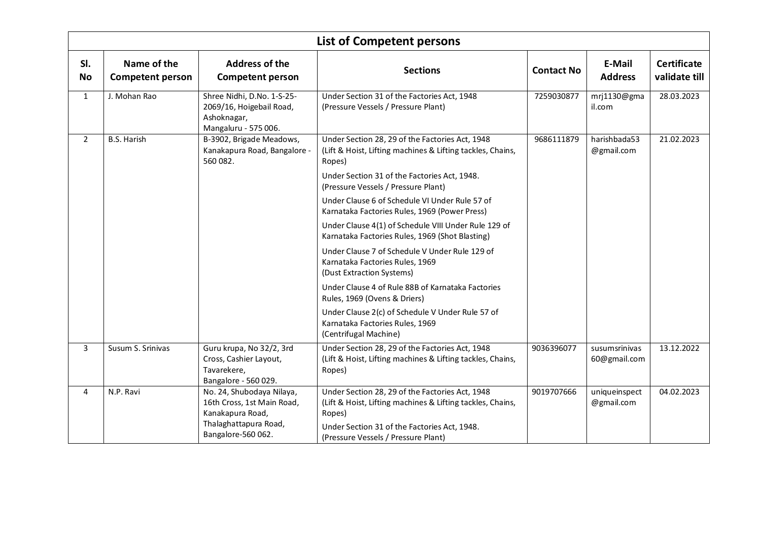|                  |                                        |                                                                                                      | List of Competent persons                                                                                                                                               |                   |                               |                                     |
|------------------|----------------------------------------|------------------------------------------------------------------------------------------------------|-------------------------------------------------------------------------------------------------------------------------------------------------------------------------|-------------------|-------------------------------|-------------------------------------|
| SI.<br><b>No</b> | Name of the<br><b>Competent person</b> | <b>Address of the</b><br><b>Competent person</b>                                                     | <b>Sections</b>                                                                                                                                                         | <b>Contact No</b> | E-Mail<br><b>Address</b>      | <b>Certificate</b><br>validate till |
| $\mathbf{1}$     | J. Mohan Rao                           | Shree Nidhi, D.No. 1-S-25-<br>2069/16, Hoigebail Road,<br>Ashoknagar,<br>Mangaluru - 575 006.        | Under Section 31 of the Factories Act, 1948<br>(Pressure Vessels / Pressure Plant)                                                                                      | 7259030877        | mrj1130@gma<br>il.com         | 28.03.2023                          |
| $\overline{2}$   | <b>B.S. Harish</b>                     | B-3902, Brigade Meadows,<br>Kanakapura Road, Bangalore -<br>560 082.                                 | Under Section 28, 29 of the Factories Act, 1948<br>(Lift & Hoist, Lifting machines & Lifting tackles, Chains,<br>Ropes)                                                 | 9686111879        | harishbada53<br>@gmail.com    | 21.02.2023                          |
|                  |                                        |                                                                                                      | Under Section 31 of the Factories Act, 1948.<br>(Pressure Vessels / Pressure Plant)                                                                                     |                   |                               |                                     |
|                  |                                        |                                                                                                      | Under Clause 6 of Schedule VI Under Rule 57 of<br>Karnataka Factories Rules, 1969 (Power Press)                                                                         |                   |                               |                                     |
|                  |                                        |                                                                                                      | Under Clause 4(1) of Schedule VIII Under Rule 129 of<br>Karnataka Factories Rules, 1969 (Shot Blasting)                                                                 |                   |                               |                                     |
|                  |                                        |                                                                                                      | Under Clause 7 of Schedule V Under Rule 129 of<br>Karnataka Factories Rules, 1969<br>(Dust Extraction Systems)                                                          |                   |                               |                                     |
|                  |                                        |                                                                                                      | Under Clause 4 of Rule 88B of Karnataka Factories<br>Rules, 1969 (Ovens & Driers)                                                                                       |                   |                               |                                     |
|                  |                                        |                                                                                                      | Under Clause 2(c) of Schedule V Under Rule 57 of<br>Karnataka Factories Rules, 1969<br>(Centrifugal Machine)                                                            |                   |                               |                                     |
| $\mathbf{3}$     | Susum S. Srinivas                      | Guru krupa, No 32/2, 3rd<br>Cross, Cashier Layout,<br>Tavarekere,<br>Bangalore - 560 029.            | Under Section 28, 29 of the Factories Act, 1948<br>(Lift & Hoist, Lifting machines & Lifting tackles, Chains,<br>Ropes)                                                 | 9036396077        | susumsrinivas<br>60@gmail.com | 13.12.2022                          |
| 4                | N.P. Ravi                              | No. 24, Shubodaya Nilaya,<br>16th Cross, 1st Main Road,<br>Kanakapura Road,<br>Thalaghattapura Road, | Under Section 28, 29 of the Factories Act, 1948<br>(Lift & Hoist, Lifting machines & Lifting tackles, Chains,<br>Ropes)<br>Under Section 31 of the Factories Act, 1948. | 9019707666        | uniqueinspect<br>@gmail.com   | 04.02.2023                          |
|                  |                                        | Bangalore-560 062.                                                                                   | (Pressure Vessels / Pressure Plant)                                                                                                                                     |                   |                               |                                     |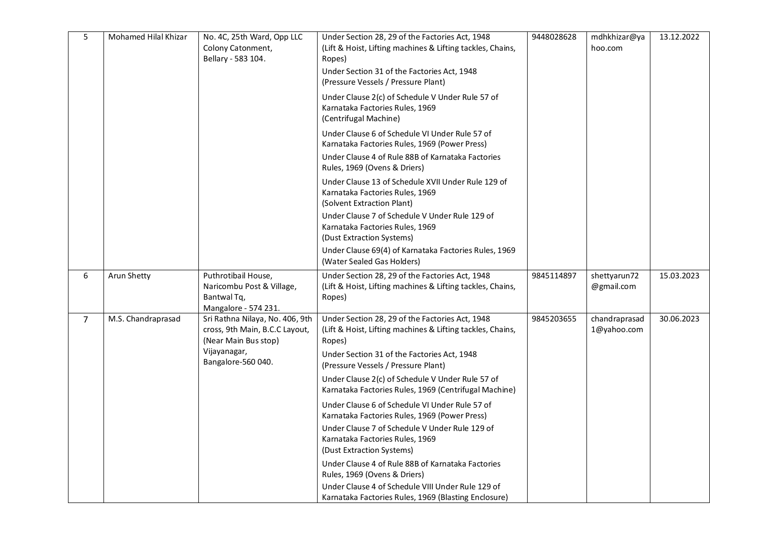| 5 | Mohamed Hilal Khizar | No. 4C, 25th Ward, Opp LLC<br>Colony Catonment,<br>Bellary - 583 104.                     | Under Section 28, 29 of the Factories Act, 1948<br>(Lift & Hoist, Lifting machines & Lifting tackles, Chains,<br>Ropes)<br>Under Section 31 of the Factories Act, 1948<br>(Pressure Vessels / Pressure Plant) | 9448028628 | mdhkhizar@ya<br>hoo.com      | 13.12.2022 |
|---|----------------------|-------------------------------------------------------------------------------------------|---------------------------------------------------------------------------------------------------------------------------------------------------------------------------------------------------------------|------------|------------------------------|------------|
|   |                      |                                                                                           | Under Clause 2(c) of Schedule V Under Rule 57 of<br>Karnataka Factories Rules, 1969<br>(Centrifugal Machine)                                                                                                  |            |                              |            |
|   |                      |                                                                                           | Under Clause 6 of Schedule VI Under Rule 57 of<br>Karnataka Factories Rules, 1969 (Power Press)                                                                                                               |            |                              |            |
|   |                      |                                                                                           | Under Clause 4 of Rule 88B of Karnataka Factories<br>Rules, 1969 (Ovens & Driers)                                                                                                                             |            |                              |            |
|   |                      |                                                                                           | Under Clause 13 of Schedule XVII Under Rule 129 of<br>Karnataka Factories Rules, 1969<br>(Solvent Extraction Plant)                                                                                           |            |                              |            |
|   |                      |                                                                                           | Under Clause 7 of Schedule V Under Rule 129 of<br>Karnataka Factories Rules, 1969<br>(Dust Extraction Systems)                                                                                                |            |                              |            |
|   |                      |                                                                                           | Under Clause 69(4) of Karnataka Factories Rules, 1969<br>(Water Sealed Gas Holders)                                                                                                                           |            |                              |            |
| 6 | Arun Shetty          | Puthrotibail House,<br>Naricombu Post & Village,<br>Bantwal Tq,<br>Mangalore - 574 231.   | Under Section 28, 29 of the Factories Act, 1948<br>(Lift & Hoist, Lifting machines & Lifting tackles, Chains,<br>Ropes)                                                                                       | 9845114897 | shettyarun72<br>@gmail.com   | 15.03.2023 |
| 7 | M.S. Chandraprasad   | Sri Rathna Nilaya, No. 406, 9th<br>cross, 9th Main, B.C.C Layout,<br>(Near Main Bus stop) | Under Section 28, 29 of the Factories Act, 1948<br>(Lift & Hoist, Lifting machines & Lifting tackles, Chains,<br>Ropes)                                                                                       | 9845203655 | chandraprasad<br>1@yahoo.com | 30.06.2023 |
|   |                      | Vijayanagar,<br>Bangalore-560 040.                                                        | Under Section 31 of the Factories Act, 1948<br>(Pressure Vessels / Pressure Plant)                                                                                                                            |            |                              |            |
|   |                      |                                                                                           | Under Clause 2(c) of Schedule V Under Rule 57 of<br>Karnataka Factories Rules, 1969 (Centrifugal Machine)                                                                                                     |            |                              |            |
|   |                      |                                                                                           | Under Clause 6 of Schedule VI Under Rule 57 of<br>Karnataka Factories Rules, 1969 (Power Press)                                                                                                               |            |                              |            |
|   |                      |                                                                                           | Under Clause 7 of Schedule V Under Rule 129 of<br>Karnataka Factories Rules, 1969<br>(Dust Extraction Systems)                                                                                                |            |                              |            |
|   |                      |                                                                                           | Under Clause 4 of Rule 88B of Karnataka Factories<br>Rules, 1969 (Ovens & Driers)<br>Under Clause 4 of Schedule VIII Under Rule 129 of<br>Karnataka Factories Rules, 1969 (Blasting Enclosure)                |            |                              |            |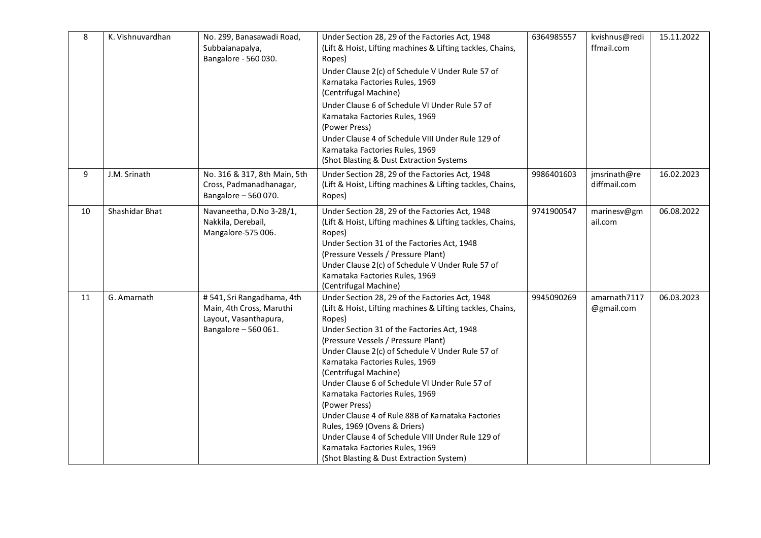| 8  | K. Vishnuvardhan | No. 299, Banasawadi Road,<br>Subbaianapalya,<br>Bangalore - 560 030.                                   | Under Section 28, 29 of the Factories Act, 1948<br>(Lift & Hoist, Lifting machines & Lifting tackles, Chains,<br>Ropes)<br>Under Clause 2(c) of Schedule V Under Rule 57 of<br>Karnataka Factories Rules, 1969<br>(Centrifugal Machine)<br>Under Clause 6 of Schedule VI Under Rule 57 of<br>Karnataka Factories Rules, 1969<br>(Power Press)<br>Under Clause 4 of Schedule VIII Under Rule 129 of<br>Karnataka Factories Rules, 1969<br>(Shot Blasting & Dust Extraction Systems                                                                                                                                                                            | 6364985557 | kvishnus@redi<br>ffmail.com  | 15.11.2022 |
|----|------------------|--------------------------------------------------------------------------------------------------------|--------------------------------------------------------------------------------------------------------------------------------------------------------------------------------------------------------------------------------------------------------------------------------------------------------------------------------------------------------------------------------------------------------------------------------------------------------------------------------------------------------------------------------------------------------------------------------------------------------------------------------------------------------------|------------|------------------------------|------------|
| 9  | J.M. Srinath     | No. 316 & 317, 8th Main, 5th<br>Cross, Padmanadhanagar,<br>Bangalore - 560 070.                        | Under Section 28, 29 of the Factories Act, 1948<br>(Lift & Hoist, Lifting machines & Lifting tackles, Chains,<br>Ropes)                                                                                                                                                                                                                                                                                                                                                                                                                                                                                                                                      | 9986401603 | jmsrinath@re<br>diffmail.com | 16.02.2023 |
| 10 | Shashidar Bhat   | Navaneetha, D.No 3-28/1,<br>Nakkila, Derebail,<br>Mangalore-575 006.                                   | Under Section 28, 29 of the Factories Act, 1948<br>(Lift & Hoist, Lifting machines & Lifting tackles, Chains,<br>Ropes)<br>Under Section 31 of the Factories Act, 1948<br>(Pressure Vessels / Pressure Plant)<br>Under Clause 2(c) of Schedule V Under Rule 57 of<br>Karnataka Factories Rules, 1969<br>(Centrifugal Machine)                                                                                                                                                                                                                                                                                                                                | 9741900547 | marinesv@gm<br>ail.com       | 06.08.2022 |
| 11 | G. Amarnath      | #541, Sri Rangadhama, 4th<br>Main, 4th Cross, Maruthi<br>Layout, Vasanthapura,<br>Bangalore - 560 061. | Under Section 28, 29 of the Factories Act, 1948<br>(Lift & Hoist, Lifting machines & Lifting tackles, Chains,<br>Ropes)<br>Under Section 31 of the Factories Act, 1948<br>(Pressure Vessels / Pressure Plant)<br>Under Clause 2(c) of Schedule V Under Rule 57 of<br>Karnataka Factories Rules, 1969<br>(Centrifugal Machine)<br>Under Clause 6 of Schedule VI Under Rule 57 of<br>Karnataka Factories Rules, 1969<br>(Power Press)<br>Under Clause 4 of Rule 88B of Karnataka Factories<br>Rules, 1969 (Ovens & Driers)<br>Under Clause 4 of Schedule VIII Under Rule 129 of<br>Karnataka Factories Rules, 1969<br>(Shot Blasting & Dust Extraction System) | 9945090269 | amarnath7117<br>@gmail.com   | 06.03.2023 |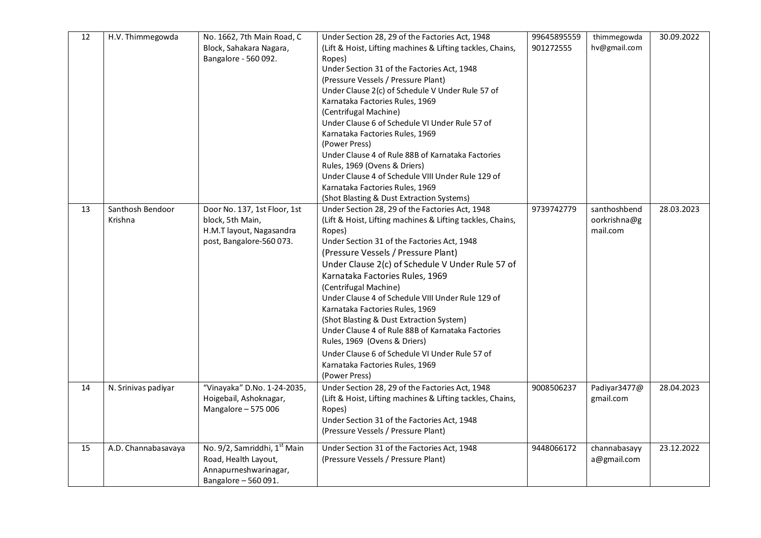| 12 | H.V. Thimmegowda            | No. 1662, 7th Main Road, C<br>Block, Sahakara Nagara,<br>Bangalore - 560 092.                                     | Under Section 28, 29 of the Factories Act, 1948<br>(Lift & Hoist, Lifting machines & Lifting tackles, Chains,<br>Ropes)<br>Under Section 31 of the Factories Act, 1948<br>(Pressure Vessels / Pressure Plant)<br>Under Clause 2(c) of Schedule V Under Rule 57 of<br>Karnataka Factories Rules, 1969<br>(Centrifugal Machine)<br>Under Clause 6 of Schedule VI Under Rule 57 of<br>Karnataka Factories Rules, 1969<br>(Power Press)<br>Under Clause 4 of Rule 88B of Karnataka Factories<br>Rules, 1969 (Ovens & Driers)<br>Under Clause 4 of Schedule VIII Under Rule 129 of<br>Karnataka Factories Rules, 1969<br>(Shot Blasting & Dust Extraction Systems) | 99645895559<br>901272555 | thimmegowda<br>hv@gmail.com              | 30.09.2022 |
|----|-----------------------------|-------------------------------------------------------------------------------------------------------------------|---------------------------------------------------------------------------------------------------------------------------------------------------------------------------------------------------------------------------------------------------------------------------------------------------------------------------------------------------------------------------------------------------------------------------------------------------------------------------------------------------------------------------------------------------------------------------------------------------------------------------------------------------------------|--------------------------|------------------------------------------|------------|
| 13 | Santhosh Bendoor<br>Krishna | Door No. 137, 1st Floor, 1st<br>block, 5th Main,<br>H.M.T layout, Nagasandra<br>post, Bangalore-560 073.          | Under Section 28, 29 of the Factories Act, 1948<br>(Lift & Hoist, Lifting machines & Lifting tackles, Chains,<br>Ropes)<br>Under Section 31 of the Factories Act, 1948<br>(Pressure Vessels / Pressure Plant)<br>Under Clause 2(c) of Schedule V Under Rule 57 of<br>Karnataka Factories Rules, 1969<br>(Centrifugal Machine)<br>Under Clause 4 of Schedule VIII Under Rule 129 of<br>Karnataka Factories Rules, 1969<br>(Shot Blasting & Dust Extraction System)<br>Under Clause 4 of Rule 88B of Karnataka Factories<br>Rules, 1969 (Ovens & Driers)<br>Under Clause 6 of Schedule VI Under Rule 57 of<br>Karnataka Factories Rules, 1969<br>(Power Press)  | 9739742779               | santhoshbend<br>oorkrishna@g<br>mail.com | 28.03.2023 |
| 14 | N. Srinivas padiyar         | "Vinayaka" D.No. 1-24-2035,<br>Hoigebail, Ashoknagar,<br>Mangalore - 575 006                                      | Under Section 28, 29 of the Factories Act, 1948<br>(Lift & Hoist, Lifting machines & Lifting tackles, Chains,<br>Ropes)<br>Under Section 31 of the Factories Act, 1948<br>(Pressure Vessels / Pressure Plant)                                                                                                                                                                                                                                                                                                                                                                                                                                                 | 9008506237               | Padiyar3477@<br>gmail.com                | 28.04.2023 |
| 15 | A.D. Channabasavaya         | No. 9/2, Samriddhi, 1 <sup>st</sup> Main<br>Road, Health Layout,<br>Annapurneshwarinagar,<br>Bangalore - 560 091. | Under Section 31 of the Factories Act, 1948<br>(Pressure Vessels / Pressure Plant)                                                                                                                                                                                                                                                                                                                                                                                                                                                                                                                                                                            | 9448066172               | channabasayy<br>a@gmail.com              | 23.12.2022 |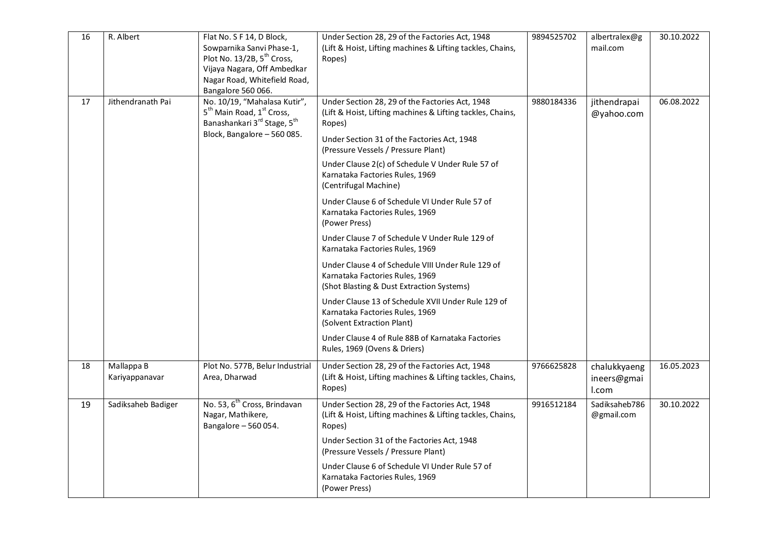| 16 | R. Albert                    | Flat No. S F 14, D Block,<br>Sowparnika Sanvi Phase-1,<br>Plot No. 13/2B, 5 <sup>th</sup> Cross,<br>Vijaya Nagara, Off Ambedkar<br>Nagar Road, Whitefield Road,<br>Bangalore 560 066. | Under Section 28, 29 of the Factories Act, 1948<br>(Lift & Hoist, Lifting machines & Lifting tackles, Chains,<br>Ropes)                                                                                                                                                                                                                                                                                                                                                                                                                                                                                                                                                                                                                                                                                                                                                   | 9894525702 | albertralex@g<br>mail.com            | 30.10.2022 |
|----|------------------------------|---------------------------------------------------------------------------------------------------------------------------------------------------------------------------------------|---------------------------------------------------------------------------------------------------------------------------------------------------------------------------------------------------------------------------------------------------------------------------------------------------------------------------------------------------------------------------------------------------------------------------------------------------------------------------------------------------------------------------------------------------------------------------------------------------------------------------------------------------------------------------------------------------------------------------------------------------------------------------------------------------------------------------------------------------------------------------|------------|--------------------------------------|------------|
| 17 | Jithendranath Pai            | No. 10/19, "Mahalasa Kutir",<br>5 <sup>th</sup> Main Road, 1 <sup>st</sup> Cross,<br>Banashankari 3rd Stage, 5 <sup>th</sup><br>Block, Bangalore - 560 085.                           | Under Section 28, 29 of the Factories Act, 1948<br>(Lift & Hoist, Lifting machines & Lifting tackles, Chains,<br>Ropes)<br>Under Section 31 of the Factories Act, 1948<br>(Pressure Vessels / Pressure Plant)<br>Under Clause 2(c) of Schedule V Under Rule 57 of<br>Karnataka Factories Rules, 1969<br>(Centrifugal Machine)<br>Under Clause 6 of Schedule VI Under Rule 57 of<br>Karnataka Factories Rules, 1969<br>(Power Press)<br>Under Clause 7 of Schedule V Under Rule 129 of<br>Karnataka Factories Rules, 1969<br>Under Clause 4 of Schedule VIII Under Rule 129 of<br>Karnataka Factories Rules, 1969<br>(Shot Blasting & Dust Extraction Systems)<br>Under Clause 13 of Schedule XVII Under Rule 129 of<br>Karnataka Factories Rules, 1969<br>(Solvent Extraction Plant)<br>Under Clause 4 of Rule 88B of Karnataka Factories<br>Rules, 1969 (Ovens & Driers) | 9880184336 | jithendrapai<br>@yahoo.com           | 06.08.2022 |
| 18 | Mallappa B<br>Kariyappanavar | Plot No. 577B, Belur Industrial<br>Area, Dharwad                                                                                                                                      | Under Section 28, 29 of the Factories Act, 1948<br>(Lift & Hoist, Lifting machines & Lifting tackles, Chains,<br>Ropes)                                                                                                                                                                                                                                                                                                                                                                                                                                                                                                                                                                                                                                                                                                                                                   | 9766625828 | chalukkyaeng<br>ineers@gmai<br>I.com | 16.05.2023 |
| 19 | Sadiksaheb Badiger           | No. 53, 6 <sup>th</sup> Cross, Brindavan<br>Nagar, Mathikere,<br>Bangalore - 560 054.                                                                                                 | Under Section 28, 29 of the Factories Act, 1948<br>(Lift & Hoist, Lifting machines & Lifting tackles, Chains,<br>Ropes)<br>Under Section 31 of the Factories Act, 1948<br>(Pressure Vessels / Pressure Plant)<br>Under Clause 6 of Schedule VI Under Rule 57 of<br>Karnataka Factories Rules, 1969<br>(Power Press)                                                                                                                                                                                                                                                                                                                                                                                                                                                                                                                                                       | 9916512184 | Sadiksaheb786<br>@gmail.com          | 30.10.2022 |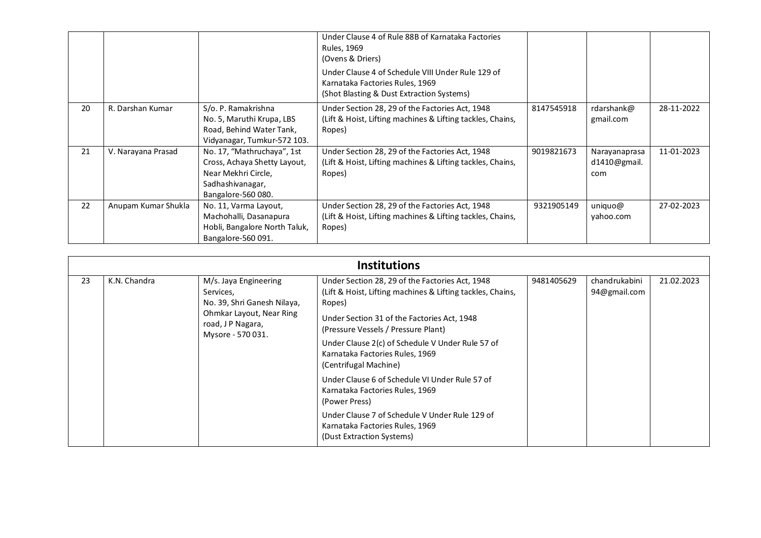|    |                     |                                                                                                                             | Under Clause 4 of Rule 88B of Karnataka Factories<br>Rules, 1969<br>(Ovens & Driers)                                              |            |                                      |            |
|----|---------------------|-----------------------------------------------------------------------------------------------------------------------------|-----------------------------------------------------------------------------------------------------------------------------------|------------|--------------------------------------|------------|
|    |                     |                                                                                                                             | Under Clause 4 of Schedule VIII Under Rule 129 of<br>Karnataka Factories Rules, 1969<br>(Shot Blasting & Dust Extraction Systems) |            |                                      |            |
| 20 | R. Darshan Kumar    | S/o. P. Ramakrishna<br>No. 5, Maruthi Krupa, LBS<br>Road, Behind Water Tank,<br>Vidyanagar, Tumkur-572 103.                 | Under Section 28, 29 of the Factories Act, 1948<br>(Lift & Hoist, Lifting machines & Lifting tackles, Chains,<br>Ropes)           | 8147545918 | rdarshank@<br>gmail.com              | 28-11-2022 |
| 21 | V. Narayana Prasad  | No. 17, "Mathruchaya", 1st<br>Cross, Achaya Shetty Layout,<br>Near Mekhri Circle,<br>Sadhashivanagar,<br>Bangalore-560 080. | Under Section 28, 29 of the Factories Act, 1948<br>(Lift & Hoist, Lifting machines & Lifting tackles, Chains,<br>Ropes)           | 9019821673 | Narayanaprasa<br>d1410@gmail.<br>com | 11-01-2023 |
| 22 | Anupam Kumar Shukla | No. 11, Varma Layout,<br>Machohalli, Dasanapura<br>Hobli, Bangalore North Taluk,<br>Bangalore-560 091.                      | Under Section 28, 29 of the Factories Act, 1948<br>(Lift & Hoist, Lifting machines & Lifting tackles, Chains,<br>Ropes)           | 9321905149 | uniquo@<br>yahoo.com                 | 27-02-2023 |

|    | <b>Institutions</b> |                                                                                                                                        |                                                                                                                                                                                                                                                                                                      |            |                               |            |  |  |
|----|---------------------|----------------------------------------------------------------------------------------------------------------------------------------|------------------------------------------------------------------------------------------------------------------------------------------------------------------------------------------------------------------------------------------------------------------------------------------------------|------------|-------------------------------|------------|--|--|
| 23 | K.N. Chandra        | M/s. Jaya Engineering<br>Services,<br>No. 39, Shri Ganesh Nilaya,<br>Ohmkar Layout, Near Ring<br>road, JP Nagara,<br>Mysore - 570 031. | Under Section 28, 29 of the Factories Act, 1948<br>(Lift & Hoist, Lifting machines & Lifting tackles, Chains,<br>Ropes)<br>Under Section 31 of the Factories Act, 1948<br>(Pressure Vessels / Pressure Plant)<br>Under Clause 2(c) of Schedule V Under Rule 57 of<br>Karnataka Factories Rules, 1969 | 9481405629 | chandrukabini<br>94@gmail.com | 21.02.2023 |  |  |
|    |                     |                                                                                                                                        | (Centrifugal Machine)<br>Under Clause 6 of Schedule VI Under Rule 57 of<br>Karnataka Factories Rules, 1969<br>(Power Press)<br>Under Clause 7 of Schedule V Under Rule 129 of<br>Karnataka Factories Rules, 1969<br>(Dust Extraction Systems)                                                        |            |                               |            |  |  |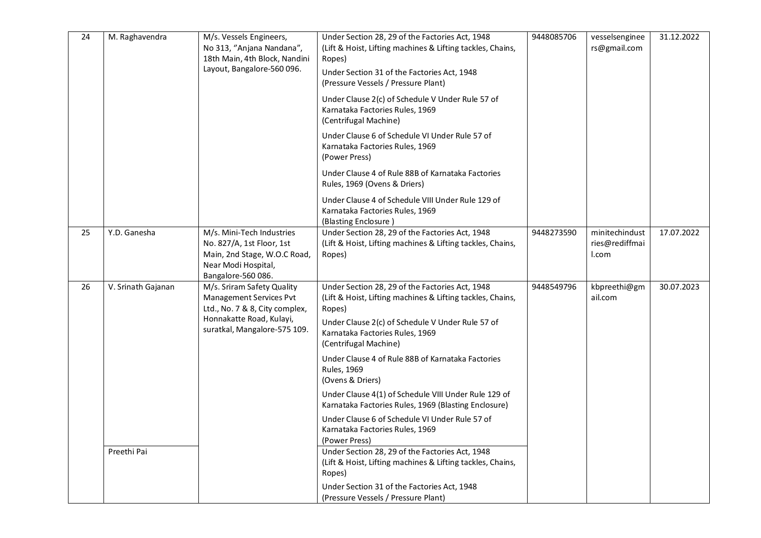| 24 | M. Raghavendra     | M/s. Vessels Engineers,<br>No 313, "Anjana Nandana",<br>18th Main, 4th Block, Nandini<br>Layout, Bangalore-560 096.                                 | Under Section 28, 29 of the Factories Act, 1948<br>(Lift & Hoist, Lifting machines & Lifting tackles, Chains,<br>Ropes)<br>Under Section 31 of the Factories Act, 1948<br>(Pressure Vessels / Pressure Plant)                           | 9448085706 | vesselsenginee<br>rs@gmail.com            | 31.12.2022 |
|----|--------------------|-----------------------------------------------------------------------------------------------------------------------------------------------------|-----------------------------------------------------------------------------------------------------------------------------------------------------------------------------------------------------------------------------------------|------------|-------------------------------------------|------------|
|    |                    |                                                                                                                                                     | Under Clause 2(c) of Schedule V Under Rule 57 of<br>Karnataka Factories Rules, 1969<br>(Centrifugal Machine)                                                                                                                            |            |                                           |            |
|    |                    |                                                                                                                                                     | Under Clause 6 of Schedule VI Under Rule 57 of<br>Karnataka Factories Rules, 1969<br>(Power Press)                                                                                                                                      |            |                                           |            |
|    |                    |                                                                                                                                                     | Under Clause 4 of Rule 88B of Karnataka Factories<br>Rules, 1969 (Ovens & Driers)                                                                                                                                                       |            |                                           |            |
|    |                    |                                                                                                                                                     | Under Clause 4 of Schedule VIII Under Rule 129 of<br>Karnataka Factories Rules, 1969<br>(Blasting Enclosure)                                                                                                                            |            |                                           |            |
| 25 | Y.D. Ganesha       | M/s. Mini-Tech Industries<br>No. 827/A, 1st Floor, 1st<br>Main, 2nd Stage, W.O.C Road,<br>Near Modi Hospital,<br>Bangalore-560 086.                 | Under Section 28, 29 of the Factories Act, 1948<br>(Lift & Hoist, Lifting machines & Lifting tackles, Chains,<br>Ropes)                                                                                                                 | 9448273590 | minitechindust<br>ries@rediffmai<br>l.com | 17.07.2022 |
| 26 | V. Srinath Gajanan | M/s. Sriram Safety Quality<br>Management Services Pvt<br>Ltd., No. 7 & 8, City complex,<br>Honnakatte Road, Kulayi,<br>suratkal, Mangalore-575 109. | Under Section 28, 29 of the Factories Act, 1948<br>(Lift & Hoist, Lifting machines & Lifting tackles, Chains,<br>Ropes)<br>Under Clause 2(c) of Schedule V Under Rule 57 of<br>Karnataka Factories Rules, 1969<br>(Centrifugal Machine) | 9448549796 | kbpreethi@gm<br>ail.com                   | 30.07.2023 |
|    |                    |                                                                                                                                                     | Under Clause 4 of Rule 88B of Karnataka Factories<br><b>Rules, 1969</b><br>(Ovens & Driers)                                                                                                                                             |            |                                           |            |
|    |                    |                                                                                                                                                     | Under Clause 4(1) of Schedule VIII Under Rule 129 of<br>Karnataka Factories Rules, 1969 (Blasting Enclosure)                                                                                                                            |            |                                           |            |
|    |                    |                                                                                                                                                     | Under Clause 6 of Schedule VI Under Rule 57 of<br>Karnataka Factories Rules, 1969<br>(Power Press)                                                                                                                                      |            |                                           |            |
|    | Preethi Pai        |                                                                                                                                                     | Under Section 28, 29 of the Factories Act, 1948<br>(Lift & Hoist, Lifting machines & Lifting tackles, Chains,<br>Ropes)                                                                                                                 |            |                                           |            |
|    |                    |                                                                                                                                                     | Under Section 31 of the Factories Act, 1948<br>(Pressure Vessels / Pressure Plant)                                                                                                                                                      |            |                                           |            |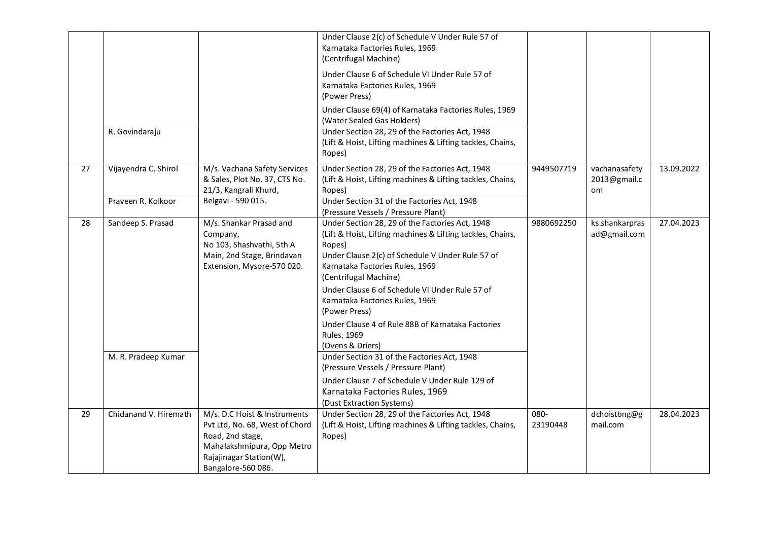|    |                                          |                                                                                                                                                                   | Under Clause 2(c) of Schedule V Under Rule 57 of<br>Karnataka Factories Rules, 1969<br>(Centrifugal Machine)<br>Under Clause 6 of Schedule VI Under Rule 57 of<br>Karnataka Factories Rules, 1969<br>(Power Press)                                                                                                                                                                                                                                                                          |                  |                                     |            |
|----|------------------------------------------|-------------------------------------------------------------------------------------------------------------------------------------------------------------------|---------------------------------------------------------------------------------------------------------------------------------------------------------------------------------------------------------------------------------------------------------------------------------------------------------------------------------------------------------------------------------------------------------------------------------------------------------------------------------------------|------------------|-------------------------------------|------------|
|    |                                          |                                                                                                                                                                   | Under Clause 69(4) of Karnataka Factories Rules, 1969<br>(Water Sealed Gas Holders)                                                                                                                                                                                                                                                                                                                                                                                                         |                  |                                     |            |
|    | R. Govindaraju                           |                                                                                                                                                                   | Under Section 28, 29 of the Factories Act, 1948<br>(Lift & Hoist, Lifting machines & Lifting tackles, Chains,<br>Ropes)                                                                                                                                                                                                                                                                                                                                                                     |                  |                                     |            |
| 27 | Vijayendra C. Shirol                     | M/s. Vachana Safety Services<br>& Sales, Plot No. 37, CTS No.<br>21/3, Kangrali Khurd,                                                                            | Under Section 28, 29 of the Factories Act, 1948<br>(Lift & Hoist, Lifting machines & Lifting tackles, Chains,<br>Ropes)                                                                                                                                                                                                                                                                                                                                                                     | 9449507719       | vachanasafety<br>2013@gmail.c<br>om | 13.09.2022 |
|    | Praveen R. Kolkoor                       | Belgavi - 590 015.                                                                                                                                                | Under Section 31 of the Factories Act, 1948<br>(Pressure Vessels / Pressure Plant)                                                                                                                                                                                                                                                                                                                                                                                                          |                  |                                     |            |
| 28 | Sandeep S. Prasad<br>M. R. Pradeep Kumar | M/s. Shankar Prasad and<br>Company,<br>No 103, Shashvathi, 5th A<br>Main, 2nd Stage, Brindavan<br>Extension, Mysore-570 020.                                      | Under Section 28, 29 of the Factories Act, 1948<br>(Lift & Hoist, Lifting machines & Lifting tackles, Chains,<br>Ropes)<br>Under Clause 2(c) of Schedule V Under Rule 57 of<br>Karnataka Factories Rules, 1969<br>(Centrifugal Machine)<br>Under Clause 6 of Schedule VI Under Rule 57 of<br>Karnataka Factories Rules, 1969<br>(Power Press)<br>Under Clause 4 of Rule 88B of Karnataka Factories<br><b>Rules, 1969</b><br>(Ovens & Driers)<br>Under Section 31 of the Factories Act, 1948 | 9880692250       | ks.shankarpras<br>ad@gmail.com      | 27.04.2023 |
|    |                                          |                                                                                                                                                                   | (Pressure Vessels / Pressure Plant)<br>Under Clause 7 of Schedule V Under Rule 129 of<br>Karnataka Factories Rules, 1969<br>(Dust Extraction Systems)                                                                                                                                                                                                                                                                                                                                       |                  |                                     |            |
| 29 | Chidanand V. Hiremath                    | M/s. D.C Hoist & Instruments<br>Pvt Ltd, No. 68, West of Chord<br>Road, 2nd stage,<br>Mahalakshmipura, Opp Metro<br>Rajajinagar Station(W),<br>Bangalore-560 086. | Under Section 28, 29 of the Factories Act, 1948<br>(Lift & Hoist, Lifting machines & Lifting tackles, Chains,<br>Ropes)                                                                                                                                                                                                                                                                                                                                                                     | 080-<br>23190448 | dchoistbng@g<br>mail.com            | 28.04.2023 |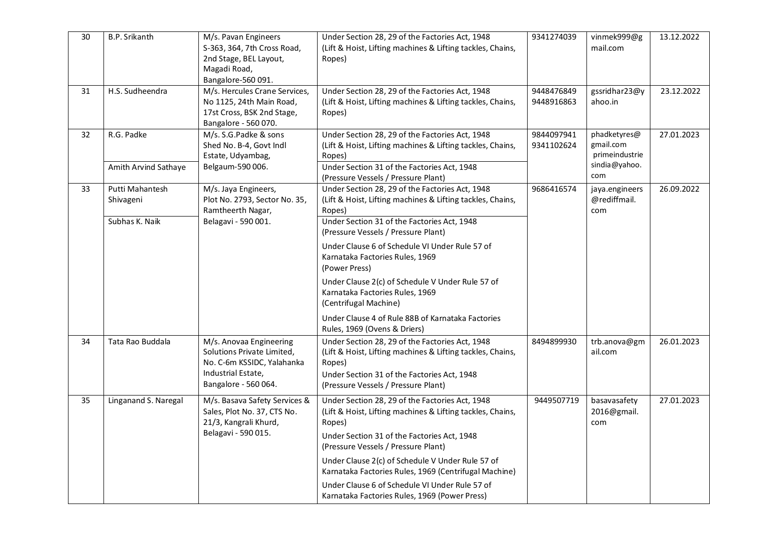| 30 | B.P. Srikanth                | M/s. Pavan Engineers<br>S-363, 364, 7th Cross Road,<br>2nd Stage, BEL Layout,<br>Magadi Road,<br>Bangalore-560 091.               | Under Section 28, 29 of the Factories Act, 1948<br>(Lift & Hoist, Lifting machines & Lifting tackles, Chains,<br>Ropes)                                                                                       | 9341274039               | vinmek999@g<br>mail.com                     | 13.12.2022 |
|----|------------------------------|-----------------------------------------------------------------------------------------------------------------------------------|---------------------------------------------------------------------------------------------------------------------------------------------------------------------------------------------------------------|--------------------------|---------------------------------------------|------------|
| 31 | H.S. Sudheendra              | M/s. Hercules Crane Services,<br>No 1125, 24th Main Road,<br>17st Cross, BSK 2nd Stage,<br>Bangalore - 560 070.                   | Under Section 28, 29 of the Factories Act, 1948<br>(Lift & Hoist, Lifting machines & Lifting tackles, Chains,<br>Ropes)                                                                                       | 9448476849<br>9448916863 | gssridhar23@y<br>ahoo.in                    | 23.12.2022 |
| 32 | R.G. Padke                   | M/s. S.G.Padke & sons<br>Shed No. B-4, Govt Indl<br>Estate, Udyambag,                                                             | Under Section 28, 29 of the Factories Act, 1948<br>(Lift & Hoist, Lifting machines & Lifting tackles, Chains,<br>Ropes)                                                                                       | 9844097941<br>9341102624 | phadketyres@<br>gmail.com<br>primeindustrie | 27.01.2023 |
|    | Amith Arvind Sathaye         | Belgaum-590 006.                                                                                                                  | Under Section 31 of the Factories Act, 1948<br>(Pressure Vessels / Pressure Plant)                                                                                                                            |                          | sindia@yahoo.<br>com                        |            |
| 33 | Putti Mahantesh<br>Shivageni | M/s. Jaya Engineers,<br>Plot No. 2793, Sector No. 35,<br>Ramtheerth Nagar,                                                        | Under Section 28, 29 of the Factories Act, 1948<br>(Lift & Hoist, Lifting machines & Lifting tackles, Chains,<br>Ropes)                                                                                       | 9686416574               | jaya.engineers<br>@rediffmail.<br>com       | 26.09.2022 |
|    | Subhas K. Naik               | Belagavi - 590 001.                                                                                                               | Under Section 31 of the Factories Act, 1948<br>(Pressure Vessels / Pressure Plant)                                                                                                                            |                          |                                             |            |
|    |                              |                                                                                                                                   | Under Clause 6 of Schedule VI Under Rule 57 of<br>Karnataka Factories Rules, 1969<br>(Power Press)                                                                                                            |                          |                                             |            |
|    |                              |                                                                                                                                   | Under Clause 2(c) of Schedule V Under Rule 57 of<br>Karnataka Factories Rules, 1969<br>(Centrifugal Machine)                                                                                                  |                          |                                             |            |
|    |                              |                                                                                                                                   | Under Clause 4 of Rule 88B of Karnataka Factories<br>Rules, 1969 (Ovens & Driers)                                                                                                                             |                          |                                             |            |
| 34 | Tata Rao Buddala             | M/s. Anovaa Engineering<br>Solutions Private Limited,<br>No. C-6m KSSIDC, Yalahanka<br>Industrial Estate,<br>Bangalore - 560 064. | Under Section 28, 29 of the Factories Act, 1948<br>(Lift & Hoist, Lifting machines & Lifting tackles, Chains,<br>Ropes)<br>Under Section 31 of the Factories Act, 1948<br>(Pressure Vessels / Pressure Plant) | 8494899930               | trb.anova@gm<br>ail.com                     | 26.01.2023 |
| 35 | Linganand S. Naregal         | M/s. Basava Safety Services &<br>Sales, Plot No. 37, CTS No.<br>21/3, Kangrali Khurd,                                             | Under Section 28, 29 of the Factories Act, 1948<br>(Lift & Hoist, Lifting machines & Lifting tackles, Chains,<br>Ropes)                                                                                       | 9449507719               | basavasafety<br>2016@gmail.<br>com          | 27.01.2023 |
|    |                              | Belagavi - 590 015.                                                                                                               | Under Section 31 of the Factories Act, 1948<br>(Pressure Vessels / Pressure Plant)                                                                                                                            |                          |                                             |            |
|    |                              |                                                                                                                                   | Under Clause 2(c) of Schedule V Under Rule 57 of<br>Karnataka Factories Rules, 1969 (Centrifugal Machine)                                                                                                     |                          |                                             |            |
|    |                              |                                                                                                                                   | Under Clause 6 of Schedule VI Under Rule 57 of<br>Karnataka Factories Rules, 1969 (Power Press)                                                                                                               |                          |                                             |            |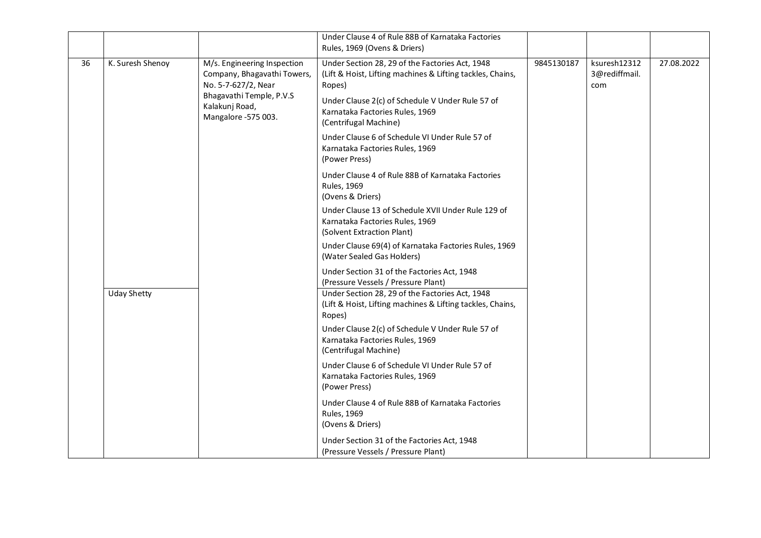|    |                    |                                                                                                                                                        | Under Clause 4 of Rule 88B of Karnataka Factories<br>Rules, 1969 (Ovens & Driers)                                                                                                                                                       |            |                                      |            |
|----|--------------------|--------------------------------------------------------------------------------------------------------------------------------------------------------|-----------------------------------------------------------------------------------------------------------------------------------------------------------------------------------------------------------------------------------------|------------|--------------------------------------|------------|
| 36 | K. Suresh Shenoy   | M/s. Engineering Inspection<br>Company, Bhagavathi Towers,<br>No. 5-7-627/2, Near<br>Bhagavathi Temple, P.V.S<br>Kalakunj Road,<br>Mangalore -575 003. | Under Section 28, 29 of the Factories Act, 1948<br>(Lift & Hoist, Lifting machines & Lifting tackles, Chains,<br>Ropes)<br>Under Clause 2(c) of Schedule V Under Rule 57 of<br>Karnataka Factories Rules, 1969<br>(Centrifugal Machine) | 9845130187 | ksuresh12312<br>3@rediffmail.<br>com | 27.08.2022 |
|    |                    |                                                                                                                                                        | Under Clause 6 of Schedule VI Under Rule 57 of<br>Karnataka Factories Rules, 1969<br>(Power Press)                                                                                                                                      |            |                                      |            |
|    |                    |                                                                                                                                                        | Under Clause 4 of Rule 88B of Karnataka Factories<br><b>Rules, 1969</b><br>(Ovens & Driers)                                                                                                                                             |            |                                      |            |
|    |                    | Under Clause 13 of Schedule XVII Under Rule 129 of<br>Karnataka Factories Rules, 1969<br>(Solvent Extraction Plant)                                    |                                                                                                                                                                                                                                         |            |                                      |            |
|    |                    | Under Clause 69(4) of Karnataka Factories Rules, 1969<br>(Water Sealed Gas Holders)                                                                    |                                                                                                                                                                                                                                         |            |                                      |            |
|    |                    |                                                                                                                                                        | Under Section 31 of the Factories Act, 1948<br>(Pressure Vessels / Pressure Plant)                                                                                                                                                      |            |                                      |            |
|    | <b>Uday Shetty</b> | Under Section 28, 29 of the Factories Act, 1948<br>(Lift & Hoist, Lifting machines & Lifting tackles, Chains,<br>Ropes)                                |                                                                                                                                                                                                                                         |            |                                      |            |
|    |                    |                                                                                                                                                        | Under Clause 2(c) of Schedule V Under Rule 57 of<br>Karnataka Factories Rules, 1969<br>(Centrifugal Machine)                                                                                                                            |            |                                      |            |
|    |                    |                                                                                                                                                        | Under Clause 6 of Schedule VI Under Rule 57 of<br>Karnataka Factories Rules, 1969<br>(Power Press)                                                                                                                                      |            |                                      |            |
|    |                    |                                                                                                                                                        | Under Clause 4 of Rule 88B of Karnataka Factories<br><b>Rules, 1969</b><br>(Ovens & Driers)                                                                                                                                             |            |                                      |            |
|    |                    |                                                                                                                                                        | Under Section 31 of the Factories Act, 1948<br>(Pressure Vessels / Pressure Plant)                                                                                                                                                      |            |                                      |            |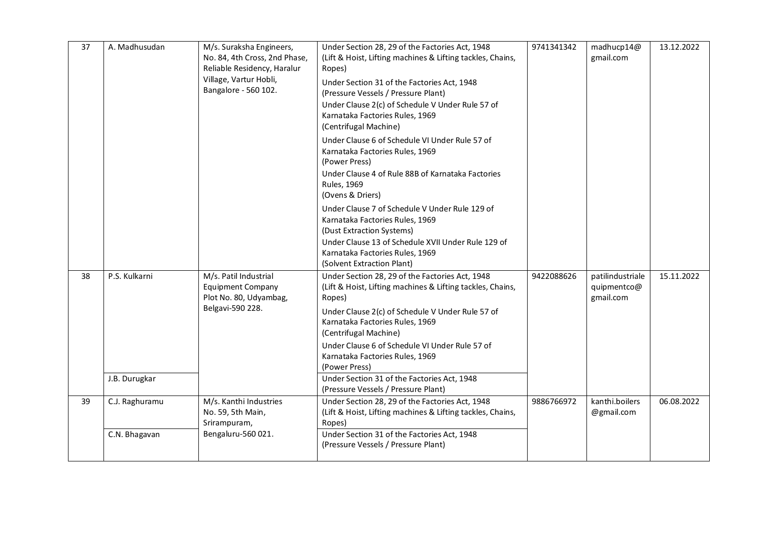| 37 | A. Madhusudan                   | M/s. Suraksha Engineers,<br>No. 84, 4th Cross, 2nd Phase,<br>Reliable Residency, Haralur<br>Village, Vartur Hobli,<br>Bangalore - 560 102. | Under Section 28, 29 of the Factories Act, 1948<br>(Lift & Hoist, Lifting machines & Lifting tackles, Chains,<br>Ropes)<br>Under Section 31 of the Factories Act, 1948<br>(Pressure Vessels / Pressure Plant)<br>Under Clause 2(c) of Schedule V Under Rule 57 of<br>Karnataka Factories Rules, 1969<br>(Centrifugal Machine)<br>Under Clause 6 of Schedule VI Under Rule 57 of<br>Karnataka Factories Rules, 1969<br>(Power Press)<br>Under Clause 4 of Rule 88B of Karnataka Factories<br><b>Rules, 1969</b><br>(Ovens & Driers)<br>Under Clause 7 of Schedule V Under Rule 129 of<br>Karnataka Factories Rules, 1969<br>(Dust Extraction Systems)<br>Under Clause 13 of Schedule XVII Under Rule 129 of<br>Karnataka Factories Rules, 1969<br>(Solvent Extraction Plant) | 9741341342 | madhucp14@<br>gmail.com                      | 13.12.2022 |
|----|---------------------------------|--------------------------------------------------------------------------------------------------------------------------------------------|-----------------------------------------------------------------------------------------------------------------------------------------------------------------------------------------------------------------------------------------------------------------------------------------------------------------------------------------------------------------------------------------------------------------------------------------------------------------------------------------------------------------------------------------------------------------------------------------------------------------------------------------------------------------------------------------------------------------------------------------------------------------------------|------------|----------------------------------------------|------------|
| 38 | P.S. Kulkarni<br>J.B. Durugkar  | M/s. Patil Industrial<br><b>Equipment Company</b><br>Plot No. 80, Udyambag,<br>Belgavi-590 228.                                            | Under Section 28, 29 of the Factories Act, 1948<br>(Lift & Hoist, Lifting machines & Lifting tackles, Chains,<br>Ropes)<br>Under Clause 2(c) of Schedule V Under Rule 57 of<br>Karnataka Factories Rules, 1969<br>(Centrifugal Machine)<br>Under Clause 6 of Schedule VI Under Rule 57 of<br>Karnataka Factories Rules, 1969<br>(Power Press)<br>Under Section 31 of the Factories Act, 1948<br>(Pressure Vessels / Pressure Plant)                                                                                                                                                                                                                                                                                                                                         | 9422088626 | patilindustriale<br>quipmentco@<br>gmail.com | 15.11.2022 |
| 39 | C.J. Raghuramu<br>C.N. Bhagavan | M/s. Kanthi Industries<br>No. 59, 5th Main,<br>Srirampuram,<br>Bengaluru-560 021.                                                          | Under Section 28, 29 of the Factories Act, 1948<br>(Lift & Hoist, Lifting machines & Lifting tackles, Chains,<br>Ropes)<br>Under Section 31 of the Factories Act, 1948<br>(Pressure Vessels / Pressure Plant)                                                                                                                                                                                                                                                                                                                                                                                                                                                                                                                                                               | 9886766972 | kanthi.boilers<br>@gmail.com                 | 06.08.2022 |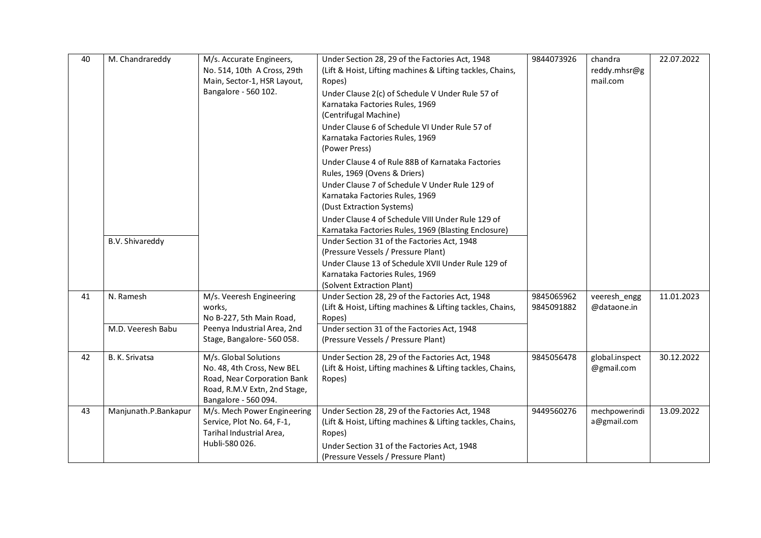| 40 | M. Chandrareddy                | M/s. Accurate Engineers,<br>No. 514, 10th A Cross, 29th<br>Main, Sector-1, HSR Layout,<br>Bangalore - 560 102.                             | Under Section 28, 29 of the Factories Act, 1948<br>(Lift & Hoist, Lifting machines & Lifting tackles, Chains,<br>Ropes)<br>Under Clause 2(c) of Schedule V Under Rule 57 of<br>Karnataka Factories Rules, 1969<br>(Centrifugal Machine)<br>Under Clause 6 of Schedule VI Under Rule 57 of<br>Karnataka Factories Rules, 1969<br>(Power Press)<br>Under Clause 4 of Rule 88B of Karnataka Factories<br>Rules, 1969 (Ovens & Driers)<br>Under Clause 7 of Schedule V Under Rule 129 of<br>Karnataka Factories Rules, 1969<br>(Dust Extraction Systems)<br>Under Clause 4 of Schedule VIII Under Rule 129 of<br>Karnataka Factories Rules, 1969 (Blasting Enclosure) | 9844073926               | chandra<br>reddy.mhsr@g<br>mail.com | 22.07.2022 |
|----|--------------------------------|--------------------------------------------------------------------------------------------------------------------------------------------|-------------------------------------------------------------------------------------------------------------------------------------------------------------------------------------------------------------------------------------------------------------------------------------------------------------------------------------------------------------------------------------------------------------------------------------------------------------------------------------------------------------------------------------------------------------------------------------------------------------------------------------------------------------------|--------------------------|-------------------------------------|------------|
|    | <b>B.V. Shivareddy</b>         |                                                                                                                                            | Under Section 31 of the Factories Act, 1948<br>(Pressure Vessels / Pressure Plant)<br>Under Clause 13 of Schedule XVII Under Rule 129 of<br>Karnataka Factories Rules, 1969<br>(Solvent Extraction Plant)                                                                                                                                                                                                                                                                                                                                                                                                                                                         |                          |                                     |            |
| 41 | N. Ramesh<br>M.D. Veeresh Babu | M/s. Veeresh Engineering<br>works,<br>No B-227, 5th Main Road,<br>Peenya Industrial Area, 2nd<br>Stage, Bangalore-560058.                  | Under Section 28, 29 of the Factories Act, 1948<br>(Lift & Hoist, Lifting machines & Lifting tackles, Chains,<br>Ropes)<br>Under section 31 of the Factories Act, 1948<br>(Pressure Vessels / Pressure Plant)                                                                                                                                                                                                                                                                                                                                                                                                                                                     | 9845065962<br>9845091882 | veeresh_engg<br>@dataone.in         | 11.01.2023 |
| 42 | B. K. Srivatsa                 | M/s. Global Solutions<br>No. 48, 4th Cross, New BEL<br>Road, Near Corporation Bank<br>Road, R.M.V Extn, 2nd Stage,<br>Bangalore - 560 094. | Under Section 28, 29 of the Factories Act, 1948<br>(Lift & Hoist, Lifting machines & Lifting tackles, Chains,<br>Ropes)                                                                                                                                                                                                                                                                                                                                                                                                                                                                                                                                           | 9845056478               | global.inspect<br>@gmail.com        | 30.12.2022 |
| 43 | Manjunath.P.Bankapur           | M/s. Mech Power Engineering<br>Service, Plot No. 64, F-1,<br>Tarihal Industrial Area,<br>Hubli-580 026.                                    | Under Section 28, 29 of the Factories Act, 1948<br>(Lift & Hoist, Lifting machines & Lifting tackles, Chains,<br>Ropes)<br>Under Section 31 of the Factories Act, 1948<br>(Pressure Vessels / Pressure Plant)                                                                                                                                                                                                                                                                                                                                                                                                                                                     | 9449560276               | mechpowerindi<br>a@gmail.com        | 13.09.2022 |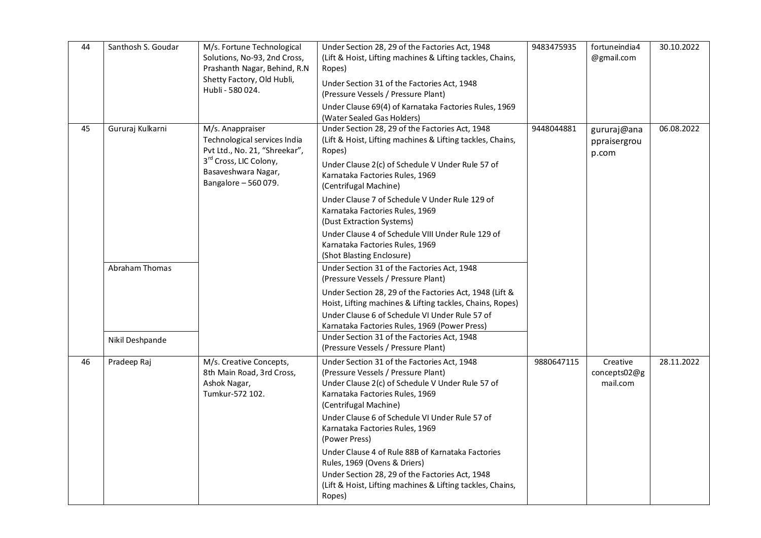| 44 | Santhosh S. Goudar                       | M/s. Fortune Technological<br>Solutions, No-93, 2nd Cross,<br>Prashanth Nagar, Behind, R.N<br>Shetty Factory, Old Hubli,<br>Hubli - 580 024.               | Under Section 28, 29 of the Factories Act, 1948<br>(Lift & Hoist, Lifting machines & Lifting tackles, Chains,<br>Ropes)<br>Under Section 31 of the Factories Act, 1948<br>(Pressure Vessels / Pressure Plant)<br>Under Clause 69(4) of Karnataka Factories Rules, 1969<br>(Water Sealed Gas Holders)                                                                                                                                                                                                                     | 9483475935 | fortuneindia4<br>@gmail.com          | 30.10.2022 |
|----|------------------------------------------|------------------------------------------------------------------------------------------------------------------------------------------------------------|--------------------------------------------------------------------------------------------------------------------------------------------------------------------------------------------------------------------------------------------------------------------------------------------------------------------------------------------------------------------------------------------------------------------------------------------------------------------------------------------------------------------------|------------|--------------------------------------|------------|
| 45 | Gururaj Kulkarni                         | M/s. Anappraiser<br>Technological services India<br>Pvt Ltd., No. 21, "Shreekar",<br>3rd Cross, LIC Colony,<br>Basaveshwara Nagar,<br>Bangalore - 560 079. | Under Section 28, 29 of the Factories Act, 1948<br>(Lift & Hoist, Lifting machines & Lifting tackles, Chains,<br>Ropes)<br>Under Clause 2(c) of Schedule V Under Rule 57 of<br>Karnataka Factories Rules, 1969<br>(Centrifugal Machine)<br>Under Clause 7 of Schedule V Under Rule 129 of<br>Karnataka Factories Rules, 1969<br>(Dust Extraction Systems)<br>Under Clause 4 of Schedule VIII Under Rule 129 of<br>Karnataka Factories Rules, 1969<br>(Shot Blasting Enclosure)                                           | 9448044881 | gururaj@ana<br>ppraisergrou<br>p.com | 06.08.2022 |
|    | <b>Abraham Thomas</b><br>Nikil Deshpande |                                                                                                                                                            | Under Section 31 of the Factories Act, 1948<br>(Pressure Vessels / Pressure Plant)<br>Under Section 28, 29 of the Factories Act, 1948 (Lift &<br>Hoist, Lifting machines & Lifting tackles, Chains, Ropes)<br>Under Clause 6 of Schedule VI Under Rule 57 of<br>Karnataka Factories Rules, 1969 (Power Press)<br>Under Section 31 of the Factories Act, 1948<br>(Pressure Vessels / Pressure Plant)                                                                                                                      |            |                                      |            |
| 46 | Pradeep Raj                              | M/s. Creative Concepts,<br>8th Main Road, 3rd Cross,<br>Ashok Nagar,<br>Tumkur-572 102.                                                                    | Under Section 31 of the Factories Act, 1948<br>(Pressure Vessels / Pressure Plant)<br>Under Clause 2(c) of Schedule V Under Rule 57 of<br>Karnataka Factories Rules, 1969<br>(Centrifugal Machine)<br>Under Clause 6 of Schedule VI Under Rule 57 of<br>Karnataka Factories Rules, 1969<br>(Power Press)<br>Under Clause 4 of Rule 88B of Karnataka Factories<br>Rules, 1969 (Ovens & Driers)<br>Under Section 28, 29 of the Factories Act, 1948<br>(Lift & Hoist, Lifting machines & Lifting tackles, Chains,<br>Ropes) | 9880647115 | Creative<br>concepts02@g<br>mail.com | 28.11.2022 |